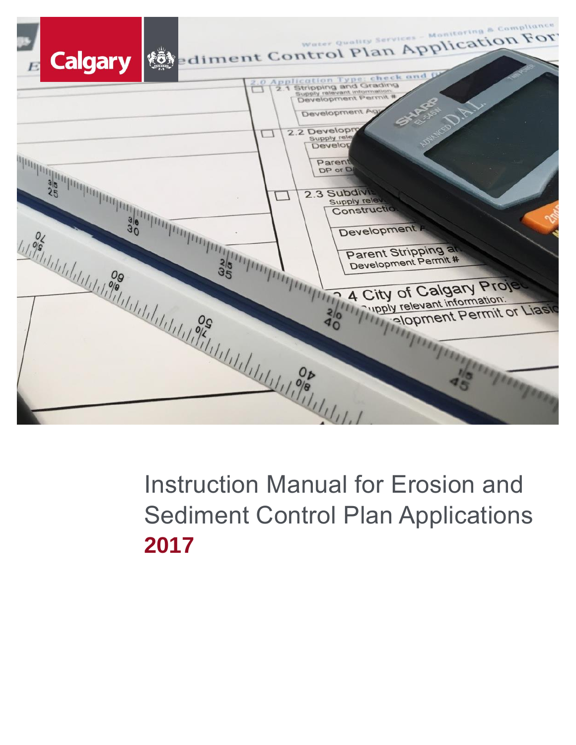

# Instruction Manual for Erosion and Sediment Control Plan Applications **2017**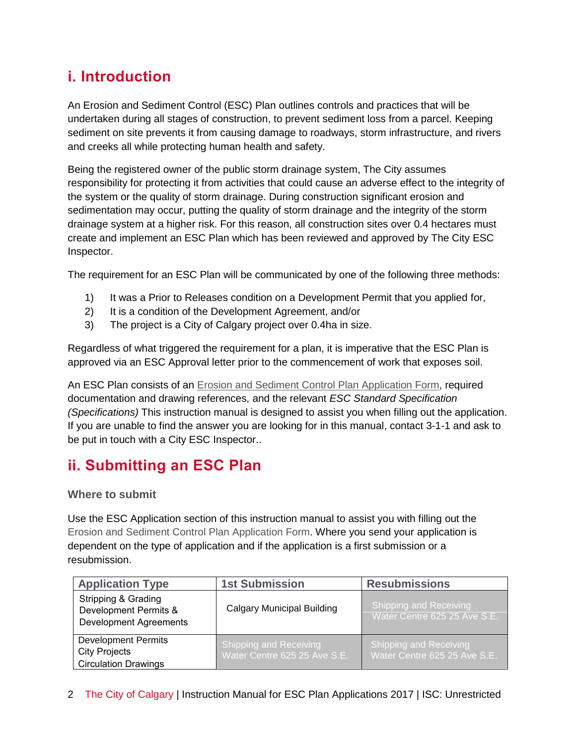# **i. Introduction**

An Erosion and Sediment Control (ESC) Plan outlines controls and practices that will be undertaken during all stages of construction, to prevent sediment loss from a parcel. Keeping sediment on site prevents it from causing damage to roadways, storm infrastructure, and rivers and creeks all while protecting human health and safety.

Being the registered owner of the public storm drainage system, The City assumes responsibility for protecting it from activities that could cause an adverse effect to the integrity of the system or the quality of storm drainage. During construction significant erosion and sedimentation may occur, putting the quality of storm drainage and the integrity of the storm drainage system at a higher risk. For this reason, all construction sites over 0.4 hectares must create and implement an ESC Plan which has been reviewed and approved by The City ESC Inspector.

The requirement for an ESC Plan will be communicated by one of the following three methods:

- 1) It was a Prior to Releases condition on a Development Permit that you applied for,
- 2) It is a condition of the Development Agreement, and/or
- 3) The project is a City of Calgary project over 0.4ha in size.

Regardless of what triggered the requirement for a plan, it is imperative that the ESC Plan is approved via an ESC Approval letter prior to the commencement of work that exposes soil.

An ESC Plan consists of an Erosion and Sediment Control Plan Application Form, required documentation and drawing references, and the relevant *ESC Standard Specification (Specifications)* This instruction manual is designed to assist you when filling out the application. If you are unable to find the answer you are looking for in this manual, contact 3-1-1 and ask to be put in touch with a City ESC Inspector..

# **ii. Submitting an ESC Plan**

# **Where to submit**

Use the ESC Application section of this instruction manual to assist you with filling out the Erosion and Sediment Control Plan Application Form. Where you send your application is dependent on the type of application and if the application is a first submission or a resubmission.

| <b>Application Type</b>                                                                  | <b>1st Submission</b>                                         | <b>Resubmissions</b>                                          |  |  |  |
|------------------------------------------------------------------------------------------|---------------------------------------------------------------|---------------------------------------------------------------|--|--|--|
| <b>Stripping &amp; Grading</b><br>Development Permits &<br><b>Development Agreements</b> | <b>Calgary Municipal Building</b>                             | <b>Shipping and Receiving</b><br>Water Centre 625 25 Ave S.E. |  |  |  |
| <b>Development Permits</b><br><b>City Projects</b><br><b>Circulation Drawings</b>        | <b>Shipping and Receiving</b><br>Water Centre 625 25 Ave S.E. | <b>Shipping and Receiving</b><br>Water Centre 625 25 Ave S.E. |  |  |  |

2 The City of Calgary | Instruction Manual for ESC Plan Applications 2017 | ISC: Unrestricted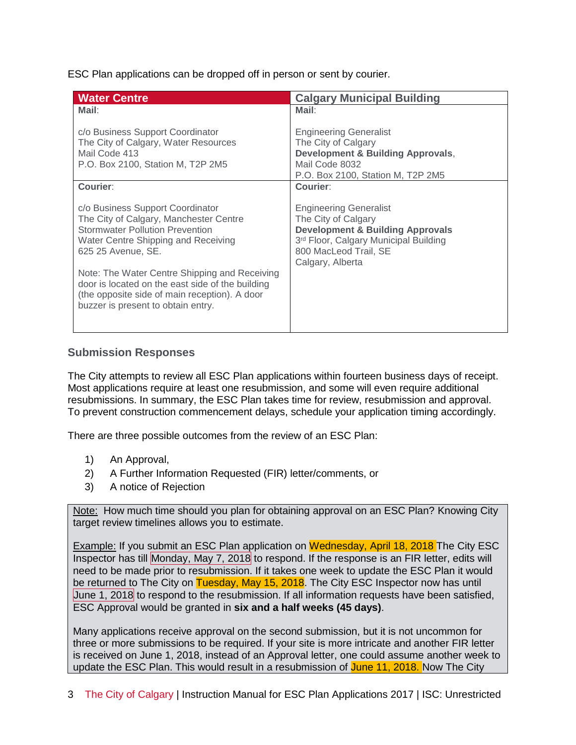ESC Plan applications can be dropped off in person or sent by courier.

| <b>Water Centre</b>                                                                                                                                                                      | <b>Calgary Municipal Building</b>                                                                                                                                                         |  |  |  |  |  |  |
|------------------------------------------------------------------------------------------------------------------------------------------------------------------------------------------|-------------------------------------------------------------------------------------------------------------------------------------------------------------------------------------------|--|--|--|--|--|--|
| Mail:                                                                                                                                                                                    | Mail:                                                                                                                                                                                     |  |  |  |  |  |  |
| c/o Business Support Coordinator<br>The City of Calgary, Water Resources<br>Mail Code 413<br>P.O. Box 2100, Station M, T2P 2M5<br>Courier:                                               | <b>Engineering Generalist</b><br>The City of Calgary<br><b>Development &amp; Building Approvals,</b><br>Mail Code 8032<br>P.O. Box 2100, Station M, T2P 2M5<br>Courier:                   |  |  |  |  |  |  |
|                                                                                                                                                                                          |                                                                                                                                                                                           |  |  |  |  |  |  |
| c/o Business Support Coordinator<br>The City of Calgary, Manchester Centre<br><b>Stormwater Pollution Prevention</b><br>Water Centre Shipping and Receiving<br>625 25 Avenue, SE.        | <b>Engineering Generalist</b><br>The City of Calgary<br><b>Development &amp; Building Approvals</b><br>3rd Floor, Calgary Municipal Building<br>800 MacLeod Trail, SE<br>Calgary, Alberta |  |  |  |  |  |  |
| Note: The Water Centre Shipping and Receiving<br>door is located on the east side of the building<br>(the opposite side of main reception). A door<br>buzzer is present to obtain entry. |                                                                                                                                                                                           |  |  |  |  |  |  |

# **Submission Responses**

The City attempts to review all ESC Plan applications within fourteen business days of receipt. Most applications require at least one resubmission, and some will even require additional resubmissions. In summary, the ESC Plan takes time for review, resubmission and approval. To prevent construction commencement delays, schedule your application timing accordingly.

There are three possible outcomes from the review of an ESC Plan:

- 1) An Approval,
- 2) A Further Information Requested (FIR) letter/comments, or
- 3) A notice of Rejection

Note: How much time should you plan for obtaining approval on an ESC Plan? Knowing City target review timelines allows you to estimate.

**Example:** If you submit an ESC Plan application on Wednesday, April 18, 2018 The City ESC Inspector has till Monday, May 7, 2018 to respond. If the response is an FIR letter, edits will need to be made prior to resubmission. If it takes one week to update the ESC Plan it would be returned to The City on Tuesday, May 15, 2018. The City ESC Inspector now has until June 1, 2018 to respond to the resubmission. If all information requests have been satisfied. ESC Approval would be granted in **six and a half weeks (45 days)**.

Many applications receive approval on the second submission, but it is not uncommon for three or more submissions to be required. If your site is more intricate and another FIR letter is received on June 1, 2018, instead of an Approval letter, one could assume another week to update the ESC Plan. This would result in a resubmission of June 11, 2018. Now The City

3 The City of Calgary | Instruction Manual for ESC Plan Applications 2017 | ISC: Unrestricted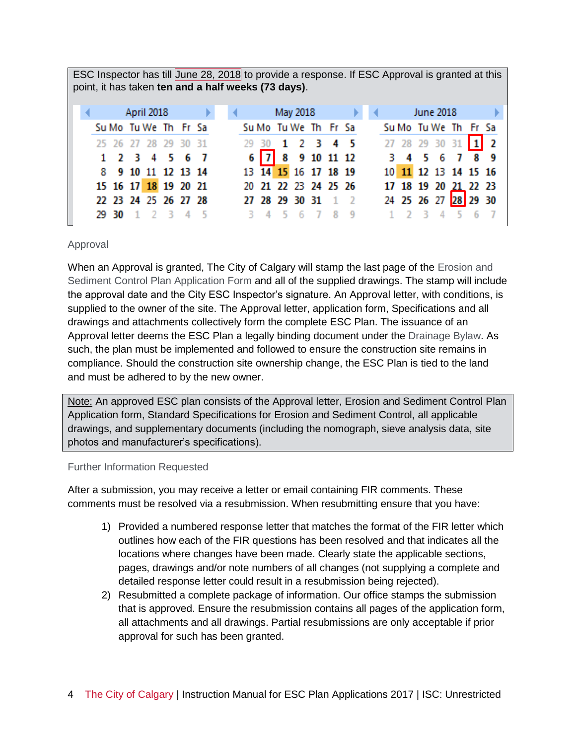| ESC Inspector has till June 28, 2018 to provide a response. If ESC Approval is granted at this<br>point, it has taken ten and a half weeks (73 days). |       |  |                      |  |     |  |  |  |       |                |                      |         |  |  |  |                  |                       |   |     |
|-------------------------------------------------------------------------------------------------------------------------------------------------------|-------|--|----------------------|--|-----|--|--|--|-------|----------------|----------------------|---------|--|--|--|------------------|-----------------------|---|-----|
|                                                                                                                                                       |       |  | April 2018           |  |     |  |  |  |       |                | May 2018             |         |  |  |  | <b>June 2018</b> |                       |   |     |
|                                                                                                                                                       |       |  | Su Mo Tu We Th Fr Sa |  |     |  |  |  |       |                | Su Mo Tu We Th Fr Sa |         |  |  |  |                  | Su Mo Tu We The Frisa |   |     |
|                                                                                                                                                       |       |  | 25 26 27 28 29       |  | -30 |  |  |  | 29 30 | $\blacksquare$ |                      | 2 3 4 5 |  |  |  | 27 28 29 30 31   |                       |   | l 2 |
|                                                                                                                                                       |       |  | 1 2 3 4 5 6 7        |  |     |  |  |  |       |                | 6 7 8 9 10 11 12     |         |  |  |  | 3 4 5 6          | - 7                   | 8 |     |
|                                                                                                                                                       |       |  | 8 9 10 11 12 13 14   |  |     |  |  |  |       |                | 13 14 15 16 17 18 19 |         |  |  |  |                  | 10 11 12 13 14 15 16  |   |     |
|                                                                                                                                                       |       |  | 15 16 17 18 19 20 21 |  |     |  |  |  |       |                | 20 21 22 23 24 25 26 |         |  |  |  |                  | 17 18 19 20 21 22 23  |   |     |
|                                                                                                                                                       |       |  | 22 23 24 25 26 27 28 |  |     |  |  |  |       |                | 27 28 29 30 31       |         |  |  |  |                  | 24 25 26 27 28 29 30  |   |     |
|                                                                                                                                                       | 29 30 |  |                      |  |     |  |  |  |       |                |                      |         |  |  |  |                  |                       |   |     |

#### Approval

When an Approval is granted, The City of Calgary will stamp the last page of the Erosion and Sediment Control Plan Application Form and all of the supplied drawings. The stamp will include the approval date and the City ESC Inspector's signature. An Approval letter, with conditions, is supplied to the owner of the site. The Approval letter, application form, Specifications and all drawings and attachments collectively form the complete ESC Plan. The issuance of an Approval letter deems the ESC Plan a legally binding document under the Drainage Bylaw. As such, the plan must be implemented and followed to ensure the construction site remains in compliance. Should the construction site ownership change, the ESC Plan is tied to the land and must be adhered to by the new owner.

Note: An approved ESC plan consists of the Approval letter, Erosion and Sediment Control Plan Application form, Standard Specifications for Erosion and Sediment Control, all applicable drawings, and supplementary documents (including the nomograph, sieve analysis data, site photos and manufacturer's specifications).

#### Further Information Requested

After a submission, you may receive a letter or email containing FIR comments. These comments must be resolved via a resubmission. When resubmitting ensure that you have:

- 1) Provided a numbered response letter that matches the format of the FIR letter which outlines how each of the FIR questions has been resolved and that indicates all the locations where changes have been made. Clearly state the applicable sections, pages, drawings and/or note numbers of all changes (not supplying a complete and detailed response letter could result in a resubmission being rejected).
- 2) Resubmitted a complete package of information. Our office stamps the submission that is approved. Ensure the resubmission contains all pages of the application form, all attachments and all drawings. Partial resubmissions are only acceptable if prior approval for such has been granted.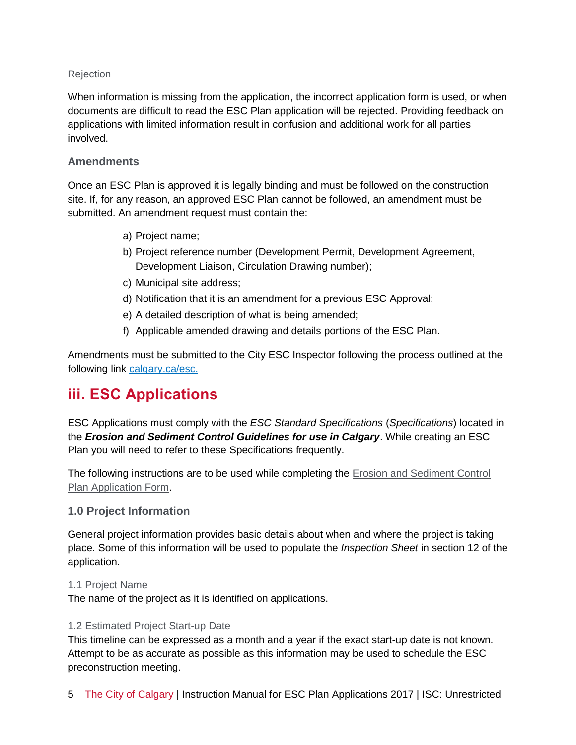# Rejection

When information is missing from the application, the incorrect application form is used, or when documents are difficult to read the ESC Plan application will be rejected. Providing feedback on applications with limited information result in confusion and additional work for all parties involved.

# **Amendments**

Once an ESC Plan is approved it is legally binding and must be followed on the construction site. If, for any reason, an approved ESC Plan cannot be followed, an amendment must be submitted. An amendment request must contain the:

- a) Project name;
- b) Project reference number (Development Permit, Development Agreement, Development Liaison, Circulation Drawing number);
- c) Municipal site address;
- d) Notification that it is an amendment for a previous ESC Approval;
- e) A detailed description of what is being amended;
- f) Applicable amended drawing and details portions of the ESC Plan.

Amendments must be submitted to the City ESC Inspector following the process outlined at the following link [calgary.ca/esc.](https://www.calgary.ca/UEP/Water/Pages/Watersheds-and-rivers/Erosion-and-sediment-control/Erosion-and-Sediment-Control.aspx?redirect=/esc)

# **iii. ESC Applications**

ESC Applications must comply with the *ESC Standard Specifications* (*Specifications*) located in the *Erosion and Sediment Control Guidelines for use in Calgary*. While creating an ESC Plan you will need to refer to these Specifications frequently.

The following instructions are to be used while completing the Erosion and Sediment Control Plan Application Form.

# **1.0 Project Information**

General project information provides basic details about when and where the project is taking place. Some of this information will be used to populate the *Inspection Sheet* in section 12 of the application.

# 1.1 Project Name

The name of the project as it is identified on applications.

# 1.2 Estimated Project Start-up Date

This timeline can be expressed as a month and a year if the exact start-up date is not known. Attempt to be as accurate as possible as this information may be used to schedule the ESC preconstruction meeting.

5 The City of Calgary | Instruction Manual for ESC Plan Applications 2017 | ISC: Unrestricted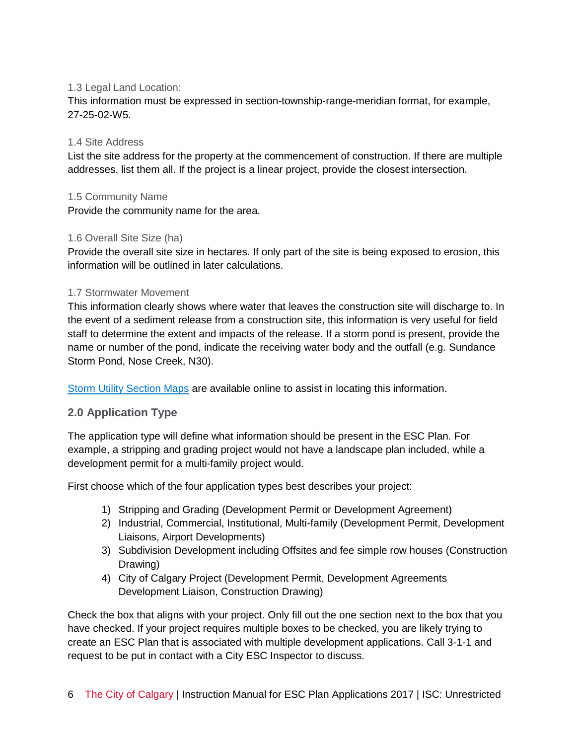# 1.3 Legal Land Location:

This information must be expressed in section-township-range-meridian format, for example, 27-25-02-W5.

# 1.4 Site Address

List the site address for the property at the commencement of construction. If there are multiple addresses, list them all. If the project is a linear project, provide the closest intersection.

# 1.5 Community Name

Provide the community name for the area.

# 1.6 Overall Site Size (ha)

Provide the overall site size in hectares. If only part of the site is being exposed to erosion, this information will be outlined in later calculations.

# 1.7 Stormwater Movement

This information clearly shows where water that leaves the construction site will discharge to. In the event of a sediment release from a construction site, this information is very useful for field staff to determine the extent and impacts of the release. If a storm pond is present, provide the name or number of the pond, indicate the receiving water body and the outfall (e.g. Sundance Storm Pond, Nose Creek, N30).

[Storm Utility Section Maps](http://www.calgary.ca/CS/IIS/Pages/Mapping-products/Storm-Utilities.aspx) are available online to assist in locating this information.

# **2.0 Application Type**

The application type will define what information should be present in the ESC Plan. For example, a stripping and grading project would not have a landscape plan included, while a development permit for a multi-family project would.

First choose which of the four application types best describes your project:

- 1) Stripping and Grading (Development Permit or Development Agreement)
- 2) Industrial, Commercial, Institutional, Multi-family (Development Permit, Development Liaisons, Airport Developments)
- 3) Subdivision Development including Offsites and fee simple row houses (Construction Drawing)
- 4) City of Calgary Project (Development Permit, Development Agreements Development Liaison, Construction Drawing)

Check the box that aligns with your project. Only fill out the one section next to the box that you have checked. If your project requires multiple boxes to be checked, you are likely trying to create an ESC Plan that is associated with multiple development applications. Call 3-1-1 and request to be put in contact with a City ESC Inspector to discuss.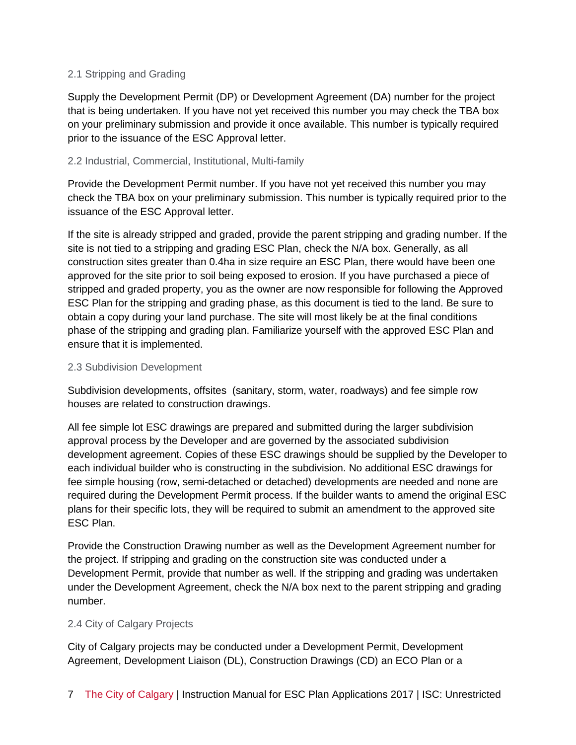# 2.1 Stripping and Grading

Supply the Development Permit (DP) or Development Agreement (DA) number for the project that is being undertaken. If you have not yet received this number you may check the TBA box on your preliminary submission and provide it once available. This number is typically required prior to the issuance of the ESC Approval letter.

# 2.2 Industrial, Commercial, Institutional, Multi-family

Provide the Development Permit number. If you have not yet received this number you may check the TBA box on your preliminary submission. This number is typically required prior to the issuance of the ESC Approval letter.

If the site is already stripped and graded, provide the parent stripping and grading number. If the site is not tied to a stripping and grading ESC Plan, check the N/A box. Generally, as all construction sites greater than 0.4ha in size require an ESC Plan, there would have been one approved for the site prior to soil being exposed to erosion. If you have purchased a piece of stripped and graded property, you as the owner are now responsible for following the Approved ESC Plan for the stripping and grading phase, as this document is tied to the land. Be sure to obtain a copy during your land purchase. The site will most likely be at the final conditions phase of the stripping and grading plan. Familiarize yourself with the approved ESC Plan and ensure that it is implemented.

# 2.3 Subdivision Development

Subdivision developments, offsites (sanitary, storm, water, roadways) and fee simple row houses are related to construction drawings.

All fee simple lot ESC drawings are prepared and submitted during the larger subdivision approval process by the Developer and are governed by the associated subdivision development agreement. Copies of these ESC drawings should be supplied by the Developer to each individual builder who is constructing in the subdivision. No additional ESC drawings for fee simple housing (row, semi-detached or detached) developments are needed and none are required during the Development Permit process. If the builder wants to amend the original ESC plans for their specific lots, they will be required to submit an amendment to the approved site ESC Plan.

Provide the Construction Drawing number as well as the Development Agreement number for the project. If stripping and grading on the construction site was conducted under a Development Permit, provide that number as well. If the stripping and grading was undertaken under the Development Agreement, check the N/A box next to the parent stripping and grading number.

# 2.4 City of Calgary Projects

City of Calgary projects may be conducted under a Development Permit, Development Agreement, Development Liaison (DL), Construction Drawings (CD) an ECO Plan or a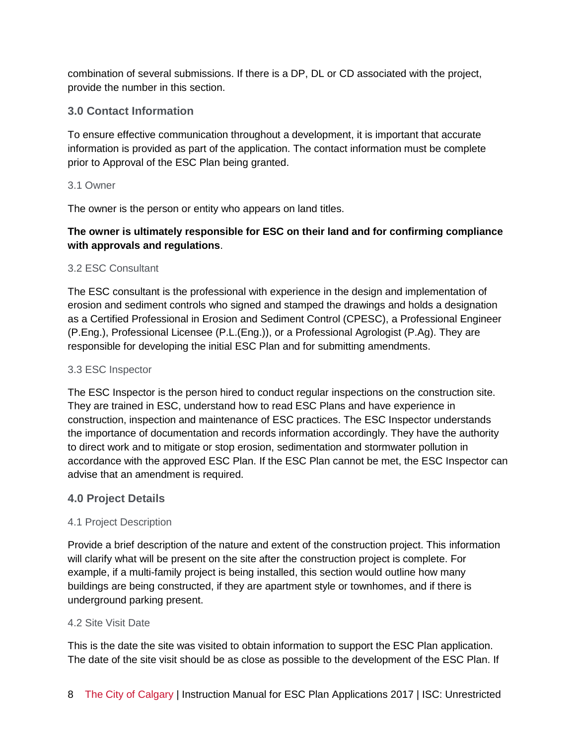combination of several submissions. If there is a DP, DL or CD associated with the project, provide the number in this section.

# **3.0 Contact Information**

To ensure effective communication throughout a development, it is important that accurate information is provided as part of the application. The contact information must be complete prior to Approval of the ESC Plan being granted.

#### 3.1 Owner

The owner is the person or entity who appears on land titles.

# **The owner is ultimately responsible for ESC on their land and for confirming compliance with approvals and regulations**.

# 3.2 ESC Consultant

The ESC consultant is the professional with experience in the design and implementation of erosion and sediment controls who signed and stamped the drawings and holds a designation as a Certified Professional in Erosion and Sediment Control (CPESC), a Professional Engineer (P.Eng.), Professional Licensee (P.L.(Eng.)), or a Professional Agrologist (P.Ag). They are responsible for developing the initial ESC Plan and for submitting amendments.

#### 3.3 ESC Inspector

The ESC Inspector is the person hired to conduct regular inspections on the construction site. They are trained in ESC, understand how to read ESC Plans and have experience in construction, inspection and maintenance of ESC practices. The ESC Inspector understands the importance of documentation and records information accordingly. They have the authority to direct work and to mitigate or stop erosion, sedimentation and stormwater pollution in accordance with the approved ESC Plan. If the ESC Plan cannot be met, the ESC Inspector can advise that an amendment is required.

# **4.0 Project Details**

# 4.1 Project Description

Provide a brief description of the nature and extent of the construction project. This information will clarify what will be present on the site after the construction project is complete. For example, if a multi-family project is being installed, this section would outline how many buildings are being constructed, if they are apartment style or townhomes, and if there is underground parking present.

# 4.2 Site Visit Date

This is the date the site was visited to obtain information to support the ESC Plan application. The date of the site visit should be as close as possible to the development of the ESC Plan. If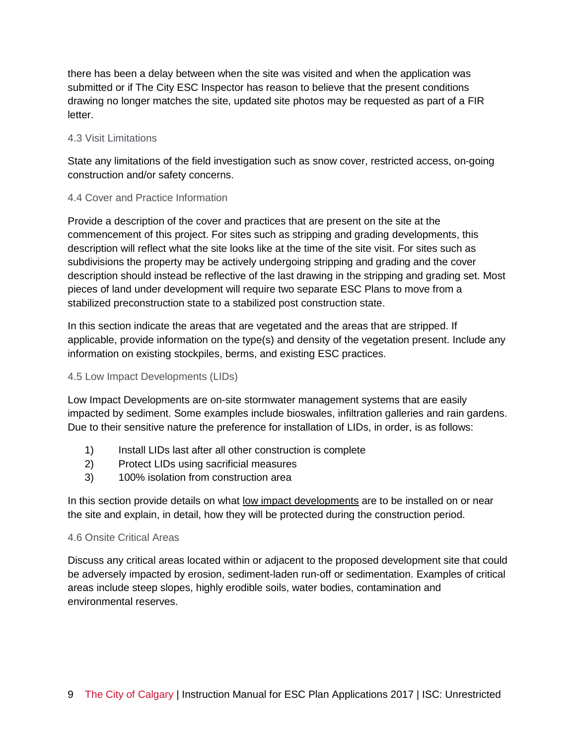there has been a delay between when the site was visited and when the application was submitted or if The City ESC Inspector has reason to believe that the present conditions drawing no longer matches the site, updated site photos may be requested as part of a FIR letter.

# 4.3 Visit Limitations

State any limitations of the field investigation such as snow cover, restricted access, on-going construction and/or safety concerns.

# 4.4 Cover and Practice Information

Provide a description of the cover and practices that are present on the site at the commencement of this project. For sites such as stripping and grading developments, this description will reflect what the site looks like at the time of the site visit. For sites such as subdivisions the property may be actively undergoing stripping and grading and the cover description should instead be reflective of the last drawing in the stripping and grading set. Most pieces of land under development will require two separate ESC Plans to move from a stabilized preconstruction state to a stabilized post construction state.

In this section indicate the areas that are vegetated and the areas that are stripped. If applicable, provide information on the type(s) and density of the vegetation present. Include any information on existing stockpiles, berms, and existing ESC practices.

# 4.5 Low Impact Developments (LIDs)

Low Impact Developments are on-site stormwater management systems that are easily impacted by sediment. Some examples include bioswales, infiltration galleries and rain gardens. Due to their sensitive nature the preference for installation of LIDs, in order, is as follows:

- 1) Install LIDs last after all other construction is complete
- 2) Protect LIDs using sacrificial measures
- 3) 100% isolation from construction area

In this section provide details on what low impact developments are to be installed on or near the site and explain, in detail, how they will be protected during the construction period.

#### 4.6 Onsite Critical Areas

Discuss any critical areas located within or adjacent to the proposed development site that could be adversely impacted by erosion, sediment-laden run-off or sedimentation. Examples of critical areas include steep slopes, highly erodible soils, water bodies, contamination and environmental reserves.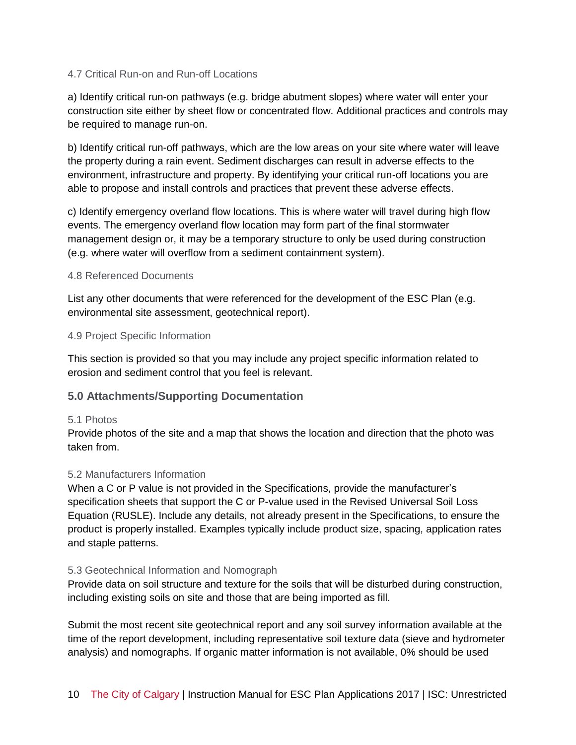#### 4.7 Critical Run-on and Run-off Locations

a) Identify critical run-on pathways (e.g. bridge abutment slopes) where water will enter your construction site either by sheet flow or concentrated flow. Additional practices and controls may be required to manage run-on.

b) Identify critical run-off pathways, which are the low areas on your site where water will leave the property during a rain event. Sediment discharges can result in adverse effects to the environment, infrastructure and property. By identifying your critical run-off locations you are able to propose and install controls and practices that prevent these adverse effects.

c) Identify emergency overland flow locations. This is where water will travel during high flow events. The emergency overland flow location may form part of the final stormwater management design or, it may be a temporary structure to only be used during construction (e.g. where water will overflow from a sediment containment system).

#### 4.8 Referenced Documents

List any other documents that were referenced for the development of the ESC Plan (e.g. environmental site assessment, geotechnical report).

#### 4.9 Project Specific Information

This section is provided so that you may include any project specific information related to erosion and sediment control that you feel is relevant.

# **5.0 Attachments/Supporting Documentation**

#### 5.1 Photos

Provide photos of the site and a map that shows the location and direction that the photo was taken from.

# 5.2 Manufacturers Information

When a C or P value is not provided in the Specifications, provide the manufacturer's specification sheets that support the C or P-value used in the Revised Universal Soil Loss Equation (RUSLE). Include any details, not already present in the Specifications, to ensure the product is properly installed. Examples typically include product size, spacing, application rates and staple patterns.

#### 5.3 Geotechnical Information and Nomograph

Provide data on soil structure and texture for the soils that will be disturbed during construction, including existing soils on site and those that are being imported as fill.

Submit the most recent site geotechnical report and any soil survey information available at the time of the report development, including representative soil texture data (sieve and hydrometer analysis) and nomographs. If organic matter information is not available, 0% should be used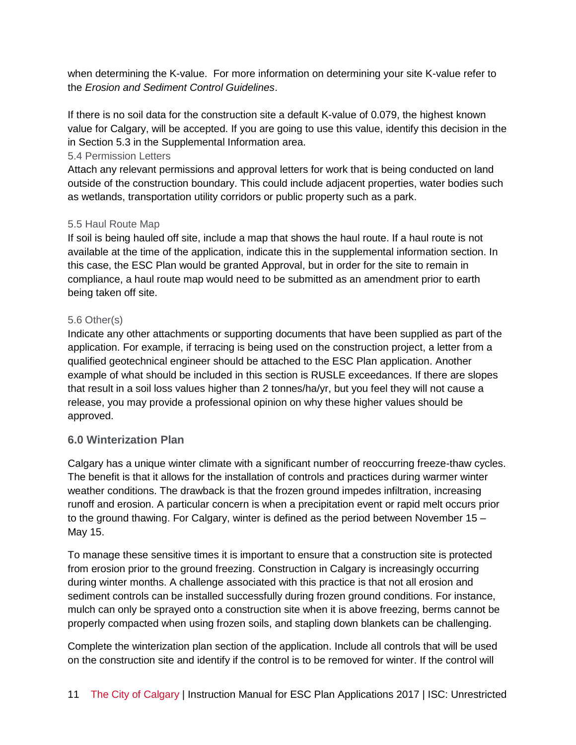when determining the K-value. For more information on determining your site K-value refer to the *Erosion and Sediment Control Guidelines*.

If there is no soil data for the construction site a default K-value of 0.079, the highest known value for Calgary, will be accepted. If you are going to use this value, identify this decision in the in Section 5.3 in the Supplemental Information area.

# 5.4 Permission Letters

Attach any relevant permissions and approval letters for work that is being conducted on land outside of the construction boundary. This could include adjacent properties, water bodies such as wetlands, transportation utility corridors or public property such as a park.

# 5.5 Haul Route Map

If soil is being hauled off site, include a map that shows the haul route. If a haul route is not available at the time of the application, indicate this in the supplemental information section. In this case, the ESC Plan would be granted Approval, but in order for the site to remain in compliance, a haul route map would need to be submitted as an amendment prior to earth being taken off site.

# 5.6 Other(s)

Indicate any other attachments or supporting documents that have been supplied as part of the application. For example, if terracing is being used on the construction project, a letter from a qualified geotechnical engineer should be attached to the ESC Plan application. Another example of what should be included in this section is RUSLE exceedances. If there are slopes that result in a soil loss values higher than 2 tonnes/ha/yr, but you feel they will not cause a release, you may provide a professional opinion on why these higher values should be approved.

# **6.0 Winterization Plan**

Calgary has a unique winter climate with a significant number of reoccurring freeze-thaw cycles. The benefit is that it allows for the installation of controls and practices during warmer winter weather conditions. The drawback is that the frozen ground impedes infiltration, increasing runoff and erosion. A particular concern is when a precipitation event or rapid melt occurs prior to the ground thawing. For Calgary, winter is defined as the period between November 15 – May 15.

To manage these sensitive times it is important to ensure that a construction site is protected from erosion prior to the ground freezing. Construction in Calgary is increasingly occurring during winter months. A challenge associated with this practice is that not all erosion and sediment controls can be installed successfully during frozen ground conditions. For instance, mulch can only be sprayed onto a construction site when it is above freezing, berms cannot be properly compacted when using frozen soils, and stapling down blankets can be challenging.

Complete the winterization plan section of the application. Include all controls that will be used on the construction site and identify if the control is to be removed for winter. If the control will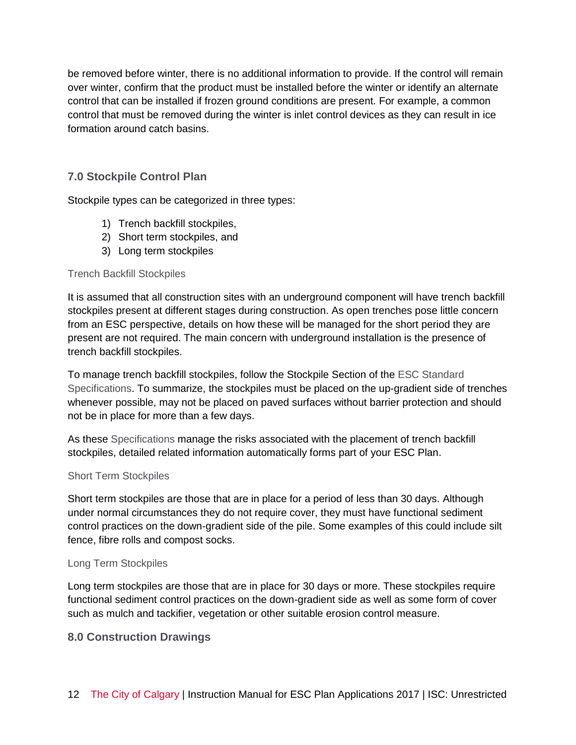be removed before winter, there is no additional information to provide. If the control will remain over winter, confirm that the product must be installed before the winter or identify an alternate control that can be installed if frozen ground conditions are present. For example, a common control that must be removed during the winter is inlet control devices as they can result in ice formation around catch basins.

# **7.0 Stockpile Control Plan**

Stockpile types can be categorized in three types:

- 1) Trench backfill stockpiles,
- 2) Short term stockpiles, and
- 3) Long term stockpiles

# Trench Backfill Stockpiles

It is assumed that all construction sites with an underground component will have trench backfill stockpiles present at different stages during construction. As open trenches pose little concern from an ESC perspective, details on how these will be managed for the short period they are present are not required. The main concern with underground installation is the presence of trench backfill stockpiles.

To manage trench backfill stockpiles, follow the Stockpile Section of the ESC Standard Specifications. To summarize, the stockpiles must be placed on the up-gradient side of trenches whenever possible, may not be placed on paved surfaces without barrier protection and should not be in place for more than a few days.

As these Specifications manage the risks associated with the placement of trench backfill stockpiles, detailed related information automatically forms part of your ESC Plan.

#### Short Term Stockpiles

Short term stockpiles are those that are in place for a period of less than 30 days. Although under normal circumstances they do not require cover, they must have functional sediment control practices on the down-gradient side of the pile. Some examples of this could include silt fence, fibre rolls and compost socks.

# Long Term Stockpiles

Long term stockpiles are those that are in place for 30 days or more. These stockpiles require functional sediment control practices on the down-gradient side as well as some form of cover such as mulch and tackifier, vegetation or other suitable erosion control measure.

# **8.0 Construction Drawings**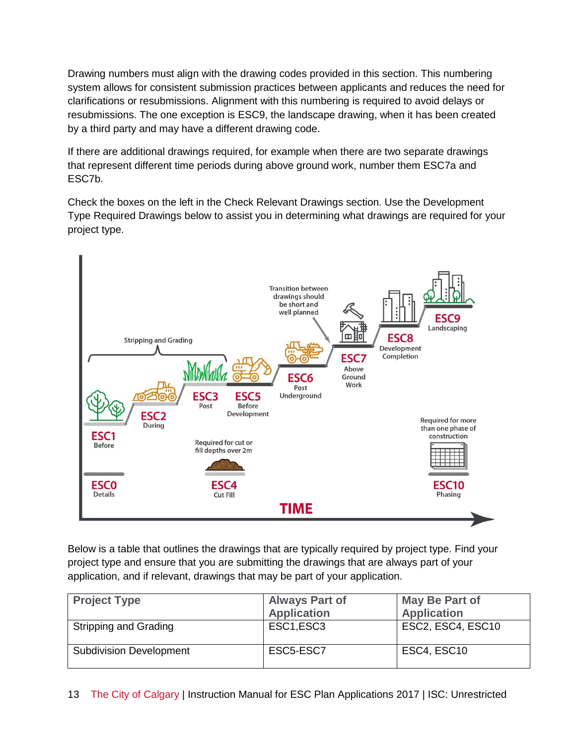Drawing numbers must align with the drawing codes provided in this section. This numbering system allows for consistent submission practices between applicants and reduces the need for clarifications or resubmissions. Alignment with this numbering is required to avoid delays or resubmissions. The one exception is ESC9, the landscape drawing, when it has been created by a third party and may have a different drawing code.

If there are additional drawings required, for example when there are two separate drawings that represent different time periods during above ground work, number them ESC7a and ESC7b.

Check the boxes on the left in the Check Relevant Drawings section. Use the Development Type Required Drawings below to assist you in determining what drawings are required for your project type.



Below is a table that outlines the drawings that are typically required by project type. Find your project type and ensure that you are submitting the drawings that are always part of your application, and if relevant, drawings that may be part of your application.

| <b>Project Type</b>            | <b>Always Part of</b><br><b>Application</b> | <b>May Be Part of</b><br><b>Application</b> |
|--------------------------------|---------------------------------------------|---------------------------------------------|
| Stripping and Grading          | ESC1,ESC3                                   | ESC2, ESC4, ESC10                           |
| <b>Subdivision Development</b> | ESC5-ESC7                                   | ESC4, ESC10                                 |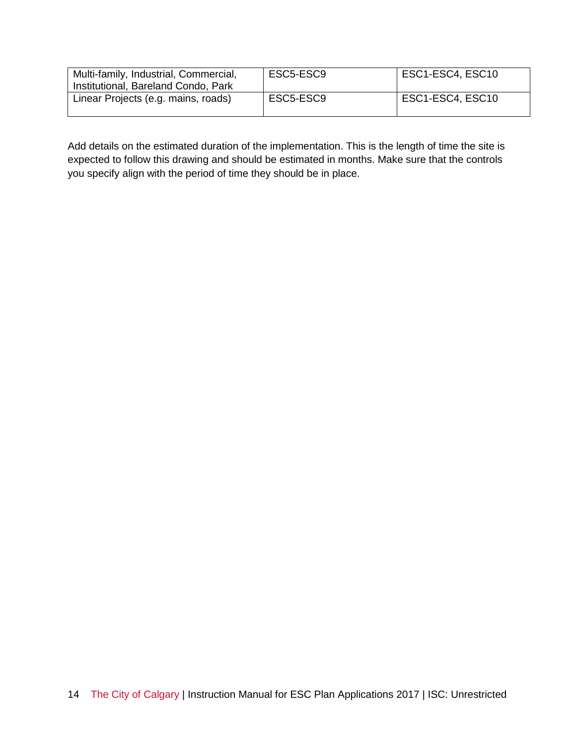| Multi-family, Industrial, Commercial,<br>Institutional, Bareland Condo, Park | ESC5-ESC9 | ESC1-ESC4, ESC10 |
|------------------------------------------------------------------------------|-----------|------------------|
| Linear Projects (e.g. mains, roads)                                          | ESC5-ESC9 | ESC1-ESC4, ESC10 |

Add details on the estimated duration of the implementation. This is the length of time the site is expected to follow this drawing and should be estimated in months. Make sure that the controls you specify align with the period of time they should be in place.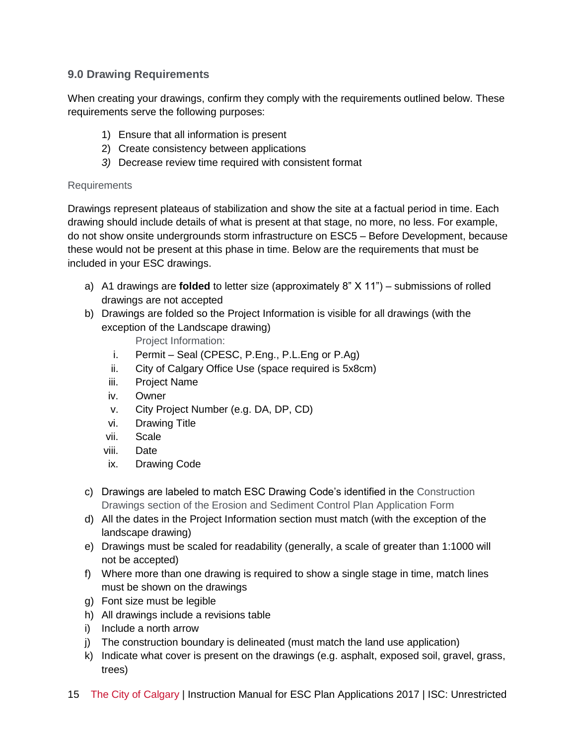# **9.0 Drawing Requirements**

When creating your drawings, confirm they comply with the requirements outlined below. These requirements serve the following purposes:

- 1) Ensure that all information is present
- 2) Create consistency between applications
- *3)* Decrease review time required with consistent format

# Requirements

Drawings represent plateaus of stabilization and show the site at a factual period in time. Each drawing should include details of what is present at that stage, no more, no less. For example, do not show onsite undergrounds storm infrastructure on ESC5 – Before Development, because these would not be present at this phase in time. Below are the requirements that must be included in your ESC drawings.

- a) A1 drawings are **folded** to letter size (approximately 8" X 11") submissions of rolled drawings are not accepted
- b) Drawings are folded so the Project Information is visible for all drawings (with the exception of the Landscape drawing)

Project Information:

- i. Permit Seal (CPESC, P.Eng., P.L.Eng or P.Ag)
- ii. City of Calgary Office Use (space required is 5x8cm)
- iii. Project Name
- iv. Owner
- v. City Project Number (e.g. DA, DP, CD)
- vi. Drawing Title
- vii. Scale
- viii. Date
- ix. Drawing Code
- c) Drawings are labeled to match ESC Drawing Code's identified in the Construction Drawings section of the Erosion and Sediment Control Plan Application Form
- d) All the dates in the Project Information section must match (with the exception of the landscape drawing)
- e) Drawings must be scaled for readability (generally, a scale of greater than 1:1000 will not be accepted)
- f) Where more than one drawing is required to show a single stage in time, match lines must be shown on the drawings
- g) Font size must be legible
- h) All drawings include a revisions table
- i) Include a north arrow
- j) The construction boundary is delineated (must match the land use application)
- k) Indicate what cover is present on the drawings (e.g. asphalt, exposed soil, gravel, grass, trees)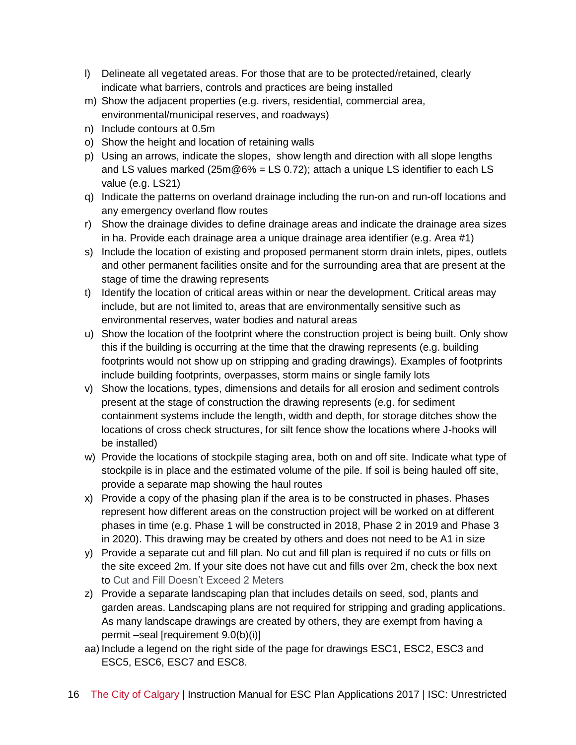- l) Delineate all vegetated areas. For those that are to be protected/retained, clearly indicate what barriers, controls and practices are being installed
- m) Show the adjacent properties (e.g. rivers, residential, commercial area, environmental/municipal reserves, and roadways)
- n) Include contours at 0.5m
- o) Show the height and location of retaining walls
- p) Using an arrows, indicate the slopes, show length and direction with all slope lengths and LS values marked ( $25m@6% = LS 0.72$ ); attach a unique LS identifier to each LS value (e.g. LS21)
- q) Indicate the patterns on overland drainage including the run-on and run-off locations and any emergency overland flow routes
- r) Show the drainage divides to define drainage areas and indicate the drainage area sizes in ha. Provide each drainage area a unique drainage area identifier (e.g. Area #1)
- s) Include the location of existing and proposed permanent storm drain inlets, pipes, outlets and other permanent facilities onsite and for the surrounding area that are present at the stage of time the drawing represents
- t) Identify the location of critical areas within or near the development. Critical areas may include, but are not limited to, areas that are environmentally sensitive such as environmental reserves, water bodies and natural areas
- u) Show the location of the footprint where the construction project is being built. Only show this if the building is occurring at the time that the drawing represents (e.g. building footprints would not show up on stripping and grading drawings). Examples of footprints include building footprints, overpasses, storm mains or single family lots
- v) Show the locations, types, dimensions and details for all erosion and sediment controls present at the stage of construction the drawing represents (e.g. for sediment containment systems include the length, width and depth, for storage ditches show the locations of cross check structures, for silt fence show the locations where J-hooks will be installed)
- w) Provide the locations of stockpile staging area, both on and off site. Indicate what type of stockpile is in place and the estimated volume of the pile. If soil is being hauled off site, provide a separate map showing the haul routes
- x) Provide a copy of the phasing plan if the area is to be constructed in phases. Phases represent how different areas on the construction project will be worked on at different phases in time (e.g. Phase 1 will be constructed in 2018, Phase 2 in 2019 and Phase 3 in 2020). This drawing may be created by others and does not need to be A1 in size
- y) Provide a separate cut and fill plan. No cut and fill plan is required if no cuts or fills on the site exceed 2m. If your site does not have cut and fills over 2m, check the box next to Cut and Fill Doesn't Exceed 2 Meters
- z) Provide a separate landscaping plan that includes details on seed, sod, plants and garden areas. Landscaping plans are not required for stripping and grading applications. As many landscape drawings are created by others, they are exempt from having a permit –seal [requirement 9.0(b)(i)]
- aa) Include a legend on the right side of the page for drawings ESC1, ESC2, ESC3 and ESC5, ESC6, ESC7 and ESC8.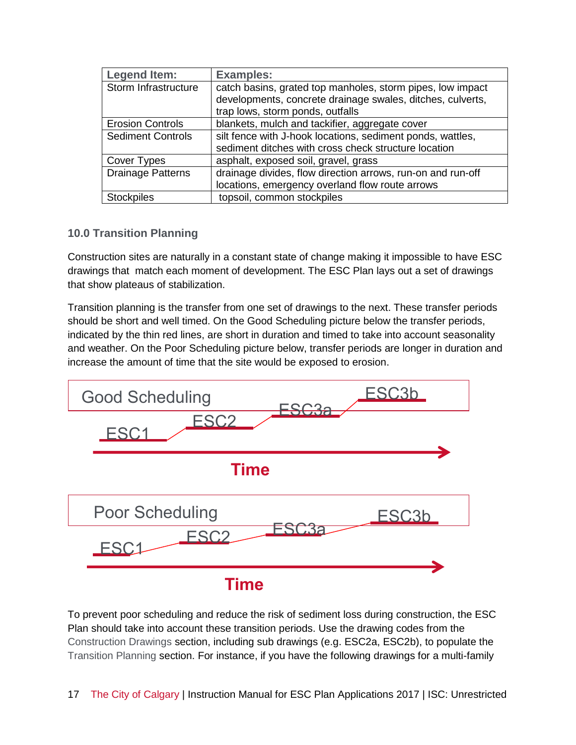| <b>Legend Item:</b>      | <b>Examples:</b>                                                                                                         |
|--------------------------|--------------------------------------------------------------------------------------------------------------------------|
| Storm Infrastructure     | catch basins, grated top manholes, storm pipes, low impact<br>developments, concrete drainage swales, ditches, culverts, |
|                          | trap lows, storm ponds, outfalls                                                                                         |
| <b>Erosion Controls</b>  | blankets, mulch and tackifier, aggregate cover                                                                           |
| <b>Sediment Controls</b> | silt fence with J-hook locations, sediment ponds, wattles,                                                               |
|                          | sediment ditches with cross check structure location                                                                     |
| Cover Types              | asphalt, exposed soil, gravel, grass                                                                                     |
| <b>Drainage Patterns</b> | drainage divides, flow direction arrows, run-on and run-off                                                              |
|                          | locations, emergency overland flow route arrows                                                                          |
| Stockpiles               | topsoil, common stockpiles                                                                                               |

# **10.0 Transition Planning**

Construction sites are naturally in a constant state of change making it impossible to have ESC drawings that match each moment of development. The ESC Plan lays out a set of drawings that show plateaus of stabilization.

Transition planning is the transfer from one set of drawings to the next. These transfer periods should be short and well timed. On the Good Scheduling picture below the transfer periods, indicated by the thin red lines, are short in duration and timed to take into account seasonality and weather. On the Poor Scheduling picture below, transfer periods are longer in duration and increase the amount of time that the site would be exposed to erosion.



To prevent poor scheduling and reduce the risk of sediment loss during construction, the ESC Plan should take into account these transition periods. Use the drawing codes from the Construction Drawings section, including sub drawings (e.g. ESC2a, ESC2b), to populate the Transition Planning section. For instance, if you have the following drawings for a multi-family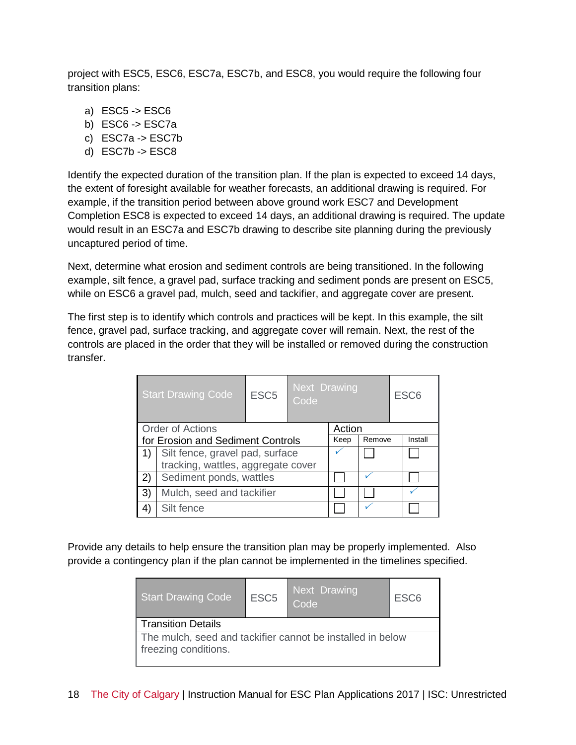project with ESC5, ESC6, ESC7a, ESC7b, and ESC8, you would require the following four transition plans:

- a) ESC5 -> ESC6
- b) ESC6 -> ESC7a
- c) ESC7a -> ESC7b
- d) ESC7b -> ESC8

Identify the expected duration of the transition plan. If the plan is expected to exceed 14 days, the extent of foresight available for weather forecasts, an additional drawing is required. For example, if the transition period between above ground work ESC7 and Development Completion ESC8 is expected to exceed 14 days, an additional drawing is required. The update would result in an ESC7a and ESC7b drawing to describe site planning during the previously uncaptured period of time.

Next, determine what erosion and sediment controls are being transitioned. In the following example, silt fence, a gravel pad, surface tracking and sediment ponds are present on ESC5, while on ESC6 a gravel pad, mulch, seed and tackifier, and aggregate cover are present.

The first step is to identify which controls and practices will be kept. In this example, the silt fence, gravel pad, surface tracking, and aggregate cover will remain. Next, the rest of the controls are placed in the order that they will be installed or removed during the construction transfer.

|    | <b>Start Drawing Code</b>          | ESC <sub>5</sub> | Next Drawing<br>Code |  | ESC <sub>6</sub> |  |  |
|----|------------------------------------|------------------|----------------------|--|------------------|--|--|
|    | <b>Order of Actions</b>            | Action           |                      |  |                  |  |  |
|    | for Erosion and Sediment Controls  | Keep             | Remove               |  | Install          |  |  |
| 1) | Silt fence, gravel pad, surface    |                  |                      |  |                  |  |  |
|    | tracking, wattles, aggregate cover |                  |                      |  |                  |  |  |
| 2) | Sediment ponds, wattles            |                  |                      |  |                  |  |  |
| 3) | Mulch, seed and tackifier          |                  |                      |  |                  |  |  |
|    | Silt fence                         |                  |                      |  |                  |  |  |

Provide any details to help ensure the transition plan may be properly implemented. Also provide a contingency plan if the plan cannot be implemented in the timelines specified.

| <b>Start Drawing Code</b>                                                          | ESC <sub>5</sub> | Next Drawing<br>Code | ESC <sub>6</sub> |  |  |  |  |  |  |
|------------------------------------------------------------------------------------|------------------|----------------------|------------------|--|--|--|--|--|--|
| <b>Transition Details</b>                                                          |                  |                      |                  |  |  |  |  |  |  |
| The mulch, seed and tackifier cannot be installed in below<br>freezing conditions. |                  |                      |                  |  |  |  |  |  |  |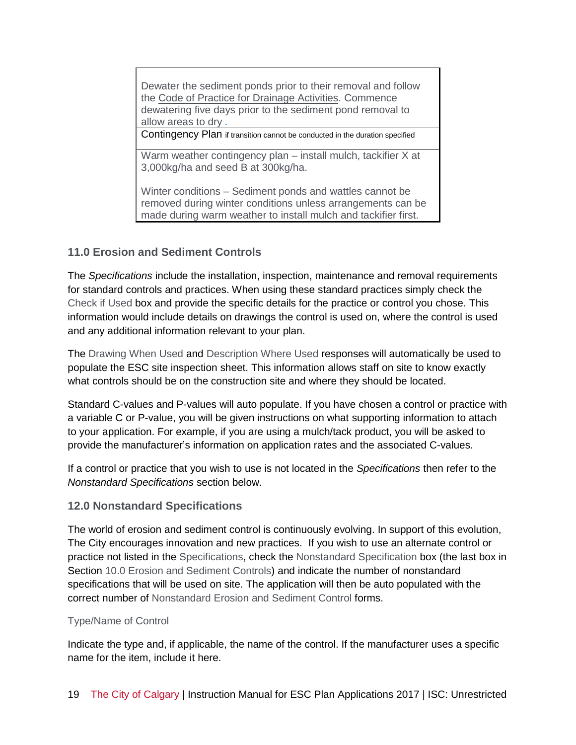Dewater the sediment ponds prior to their removal and follow the Code of Practice for Drainage Activities. Commence dewatering five days prior to the sediment pond removal to allow areas to dry *.*

Contingency Plan if transition cannot be conducted in the duration specified

Warm weather contingency plan – install mulch, tackifier X at 3,000kg/ha and seed B at 300kg/ha.

Winter conditions – Sediment ponds and wattles cannot be removed during winter conditions unless arrangements can be made during warm weather to install mulch and tackifier first.

# **11.0 Erosion and Sediment Controls**

The *Specifications* include the installation, inspection, maintenance and removal requirements for standard controls and practices. When using these standard practices simply check the Check if Used box and provide the specific details for the practice or control you chose. This information would include details on drawings the control is used on, where the control is used and any additional information relevant to your plan.

The Drawing When Used and Description Where Used responses will automatically be used to populate the ESC site inspection sheet. This information allows staff on site to know exactly what controls should be on the construction site and where they should be located.

Standard C-values and P-values will auto populate. If you have chosen a control or practice with a variable C or P-value, you will be given instructions on what supporting information to attach to your application. For example, if you are using a mulch/tack product, you will be asked to provide the manufacturer's information on application rates and the associated C-values.

If a control or practice that you wish to use is not located in the *Specifications* then refer to the *Nonstandard Specifications* section below.

# **12.0 Nonstandard Specifications**

The world of erosion and sediment control is continuously evolving. In support of this evolution, The City encourages innovation and new practices. If you wish to use an alternate control or practice not listed in the Specifications, check the Nonstandard Specification box (the last box in Section 10.0 Erosion and Sediment Controls) and indicate the number of nonstandard specifications that will be used on site. The application will then be auto populated with the correct number of Nonstandard Erosion and Sediment Control forms.

# Type/Name of Control

Indicate the type and, if applicable, the name of the control. If the manufacturer uses a specific name for the item, include it here.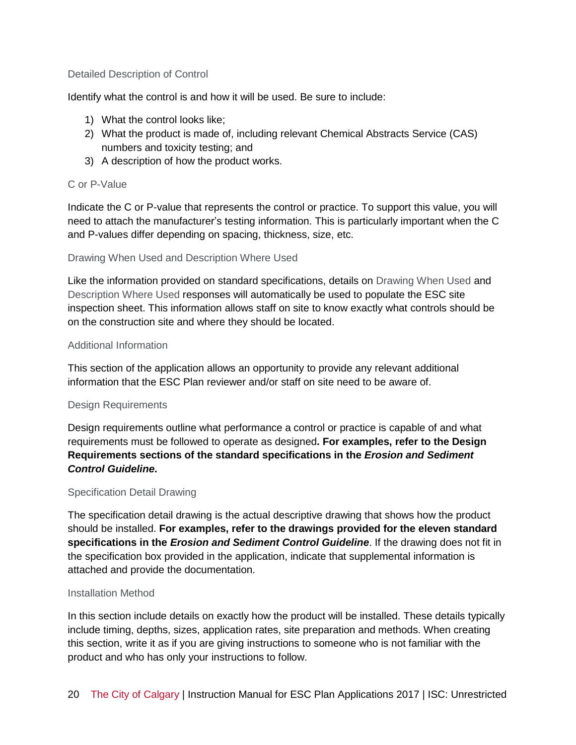#### Detailed Description of Control

Identify what the control is and how it will be used. Be sure to include:

- 1) What the control looks like;
- 2) What the product is made of, including relevant Chemical Abstracts Service (CAS) numbers and toxicity testing; and
- 3) A description of how the product works.

#### C or P-Value

Indicate the C or P-value that represents the control or practice. To support this value, you will need to attach the manufacturer's testing information. This is particularly important when the C and P-values differ depending on spacing, thickness, size, etc.

#### Drawing When Used and Description Where Used

Like the information provided on standard specifications, details on Drawing When Used and Description Where Used responses will automatically be used to populate the ESC site inspection sheet. This information allows staff on site to know exactly what controls should be on the construction site and where they should be located.

#### Additional Information

This section of the application allows an opportunity to provide any relevant additional information that the ESC Plan reviewer and/or staff on site need to be aware of.

#### Design Requirements

Design requirements outline what performance a control or practice is capable of and what requirements must be followed to operate as designed**. For examples, refer to the Design Requirements sections of the standard specifications in the** *Erosion and Sediment Control Guideline***.**

#### Specification Detail Drawing

The specification detail drawing is the actual descriptive drawing that shows how the product should be installed. **For examples, refer to the drawings provided for the eleven standard specifications in the** *Erosion and Sediment Control Guideline*. If the drawing does not fit in the specification box provided in the application, indicate that supplemental information is attached and provide the documentation.

#### Installation Method

In this section include details on exactly how the product will be installed. These details typically include timing, depths, sizes, application rates, site preparation and methods. When creating this section, write it as if you are giving instructions to someone who is not familiar with the product and who has only your instructions to follow.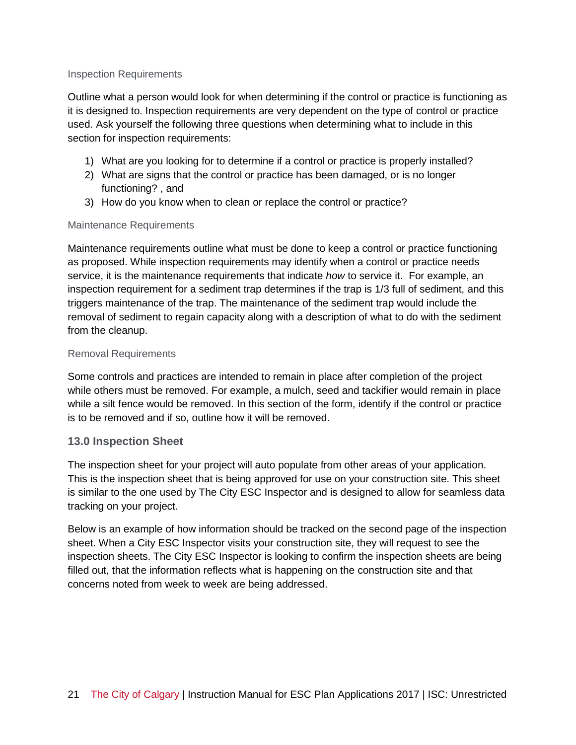#### Inspection Requirements

Outline what a person would look for when determining if the control or practice is functioning as it is designed to. Inspection requirements are very dependent on the type of control or practice used. Ask yourself the following three questions when determining what to include in this section for inspection requirements:

- 1) What are you looking for to determine if a control or practice is properly installed?
- 2) What are signs that the control or practice has been damaged, or is no longer functioning? , and
- 3) How do you know when to clean or replace the control or practice?

# Maintenance Requirements

Maintenance requirements outline what must be done to keep a control or practice functioning as proposed. While inspection requirements may identify when a control or practice needs service, it is the maintenance requirements that indicate *how* to service it. For example, an inspection requirement for a sediment trap determines if the trap is 1/3 full of sediment, and this triggers maintenance of the trap. The maintenance of the sediment trap would include the removal of sediment to regain capacity along with a description of what to do with the sediment from the cleanup.

#### Removal Requirements

Some controls and practices are intended to remain in place after completion of the project while others must be removed. For example, a mulch, seed and tackifier would remain in place while a silt fence would be removed. In this section of the form, identify if the control or practice is to be removed and if so, outline how it will be removed.

# **13.0 Inspection Sheet**

The inspection sheet for your project will auto populate from other areas of your application. This is the inspection sheet that is being approved for use on your construction site. This sheet is similar to the one used by The City ESC Inspector and is designed to allow for seamless data tracking on your project.

Below is an example of how information should be tracked on the second page of the inspection sheet. When a City ESC Inspector visits your construction site, they will request to see the inspection sheets. The City ESC Inspector is looking to confirm the inspection sheets are being filled out, that the information reflects what is happening on the construction site and that concerns noted from week to week are being addressed.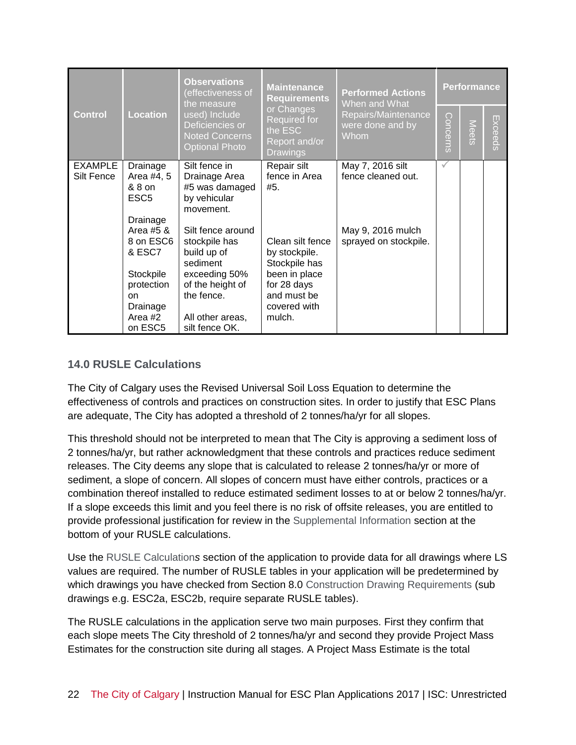|                              |                                                                                                                | <b>Observations</b><br>(effectiveness of<br>the measure                                                                                                         | <b>Maintenance</b><br><b>Requirements</b>                                                                                   | <b>Performed Actions</b><br>When and What              | <b>Performance</b> |       |                    |  |
|------------------------------|----------------------------------------------------------------------------------------------------------------|-----------------------------------------------------------------------------------------------------------------------------------------------------------------|-----------------------------------------------------------------------------------------------------------------------------|--------------------------------------------------------|--------------------|-------|--------------------|--|
| <b>Control</b>               | <b>Location</b>                                                                                                | or Changes<br>used) Include<br>Required for<br>Deficiencies or<br>the ESC<br><b>Noted Concerns</b><br>Report and/or<br><b>Optional Photo</b><br><b>Drawings</b> |                                                                                                                             | Repairs/Maintenance<br>were done and by<br><b>Whom</b> | Concerns           | Meets | Ехсеес<br>$\Omega$ |  |
| <b>EXAMPLE</b><br>Silt Fence | Drainage<br>Area #4, 5<br>& 8 on<br>ESC <sub>5</sub><br>Drainage                                               | Silt fence in<br>Drainage Area<br>#5 was damaged<br>by vehicular<br>movement.                                                                                   | Repair silt<br>fence in Area<br>#5.                                                                                         | May 7, 2016 silt<br>fence cleaned out.                 | $\checkmark$       |       |                    |  |
|                              | Area #5 &<br>8 on ESC6<br>& ESC7<br>Stockpile<br>protection<br><sub>on</sub><br>Drainage<br>Area #2<br>on ESC5 | Silt fence around<br>stockpile has<br>build up of<br>sediment<br>exceeding 50%<br>of the height of<br>the fence.<br>All other areas,<br>silt fence OK.          | Clean silt fence<br>by stockpile.<br>Stockpile has<br>been in place<br>for 28 days<br>and must be<br>covered with<br>mulch. | May 9, 2016 mulch<br>sprayed on stockpile.             |                    |       |                    |  |

# **14.0 RUSLE Calculations**

The City of Calgary uses the Revised Universal Soil Loss Equation to determine the effectiveness of controls and practices on construction sites. In order to justify that ESC Plans are adequate, The City has adopted a threshold of 2 tonnes/ha/yr for all slopes.

This threshold should not be interpreted to mean that The City is approving a sediment loss of 2 tonnes/ha/yr, but rather acknowledgment that these controls and practices reduce sediment releases. The City deems any slope that is calculated to release 2 tonnes/ha/yr or more of sediment, a slope of concern. All slopes of concern must have either controls, practices or a combination thereof installed to reduce estimated sediment losses to at or below 2 tonnes/ha/yr. If a slope exceeds this limit and you feel there is no risk of offsite releases, you are entitled to provide professional justification for review in the Supplemental Information section at the bottom of your RUSLE calculations.

Use the RUSLE Calculation*s* section of the application to provide data for all drawings where LS values are required. The number of RUSLE tables in your application will be predetermined by which drawings you have checked from Section 8.0 Construction Drawing Requirements (sub drawings e.g. ESC2a, ESC2b, require separate RUSLE tables).

The RUSLE calculations in the application serve two main purposes. First they confirm that each slope meets The City threshold of 2 tonnes/ha/yr and second they provide Project Mass Estimates for the construction site during all stages. A Project Mass Estimate is the total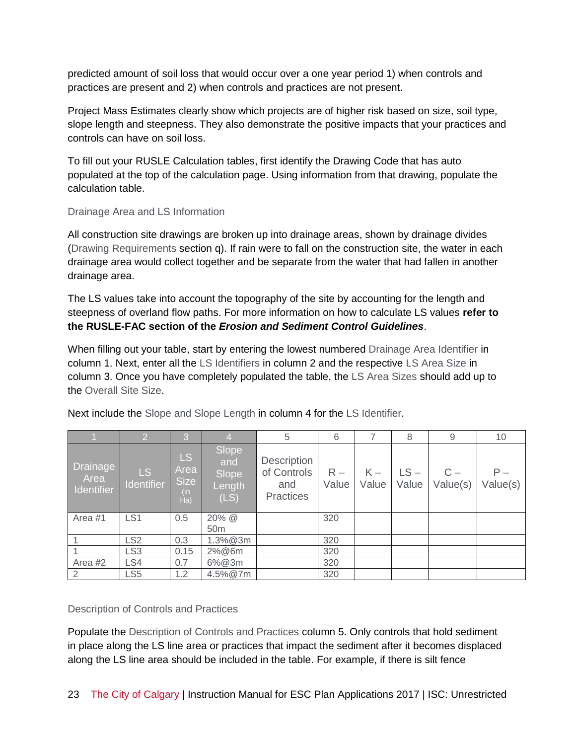predicted amount of soil loss that would occur over a one year period 1) when controls and practices are present and 2) when controls and practices are not present.

Project Mass Estimates clearly show which projects are of higher risk based on size, soil type, slope length and steepness. They also demonstrate the positive impacts that your practices and controls can have on soil loss.

To fill out your RUSLE Calculation tables, first identify the Drawing Code that has auto populated at the top of the calculation page. Using information from that drawing, populate the calculation table.

# Drainage Area and LS Information

All construction site drawings are broken up into drainage areas, shown by drainage divides (Drawing Requirements section q). If rain were to fall on the construction site, the water in each drainage area would collect together and be separate from the water that had fallen in another drainage area.

The LS values take into account the topography of the site by accounting for the length and steepness of overland flow paths. For more information on how to calculate LS values **refer to the RUSLE-FAC section of the** *Erosion and Sediment Control Guidelines*.

When filling out your table, start by entering the lowest numbered Drainage Area Identifier in column 1. Next, enter all the LS Identifiers in column 2 and the respective LS Area Size in column 3. Once you have completely populated the table, the LS Area Sizes should add up to the Overall Site Size.

|                                | o                 | 3                                               |                                         | 5                                                     | 6              |                | 8               | 9                 | 10                |
|--------------------------------|-------------------|-------------------------------------------------|-----------------------------------------|-------------------------------------------------------|----------------|----------------|-----------------|-------------------|-------------------|
| Drainage<br>Area<br>Identifier | LS.<br>Identifier | <b>LS</b><br>Area<br><b>Size</b><br>(in)<br>Ha) | Slope<br>and<br>Slope<br>Length<br>(LS) | Description<br>of Controls<br>and<br><b>Practices</b> | $R -$<br>Value | $K -$<br>Value | $LS -$<br>Value | $C -$<br>Value(s) | $P -$<br>Value(s) |
| Area #1                        | LS <sub>1</sub>   | 0.5                                             | 20% @<br>50 <sub>m</sub>                |                                                       | 320            |                |                 |                   |                   |
|                                | LS <sub>2</sub>   | 0.3                                             | 1.3%@3m                                 |                                                       | 320            |                |                 |                   |                   |
|                                | LS <sub>3</sub>   | 0.15                                            | 2%@6m                                   |                                                       | 320            |                |                 |                   |                   |
| Area #2                        | LS4               | 0.7                                             | 6%@3m                                   |                                                       | 320            |                |                 |                   |                   |
| $\overline{2}$                 | LS <sub>5</sub>   | 1.2                                             | 4.5%@7m                                 |                                                       | 320            |                |                 |                   |                   |

Next include the Slope and Slope Length in column 4 for the LS Identifier.

# Description of Controls and Practices

Populate the Description of Controls and Practices column 5. Only controls that hold sediment in place along the LS line area or practices that impact the sediment after it becomes displaced along the LS line area should be included in the table. For example, if there is silt fence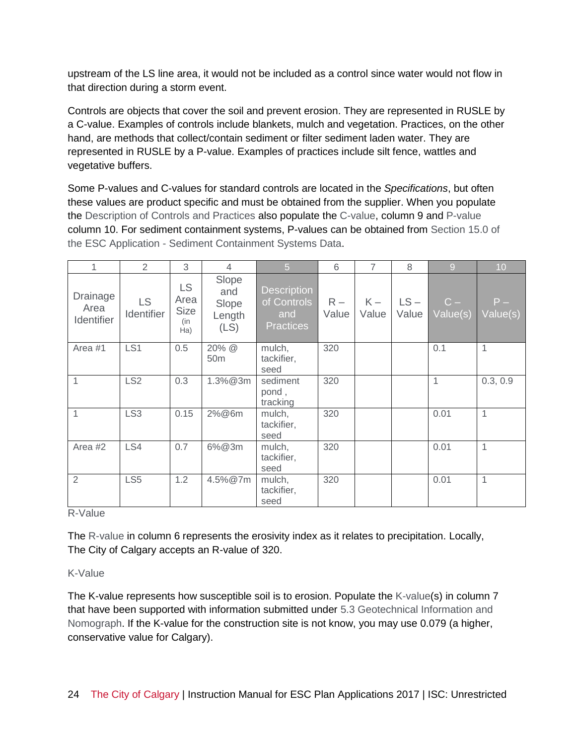upstream of the LS line area, it would not be included as a control since water would not flow in that direction during a storm event.

Controls are objects that cover the soil and prevent erosion. They are represented in RUSLE by a C-value. Examples of controls include blankets, mulch and vegetation. Practices, on the other hand, are methods that collect/contain sediment or filter sediment laden water. They are represented in RUSLE by a P-value. Examples of practices include silt fence, wattles and vegetative buffers.

Some P-values and C-values for standard controls are located in the *Specifications*, but often these values are product specific and must be obtained from the supplier. When you populate the Description of Controls and Practices also populate the C-value, column 9 and P-value column 10. For sediment containment systems, P-values can be obtained from Section 15.0 of the ESC Application - Sediment Containment Systems Data.

| 1                                     | 2                       | 3                                        | 4                                       | $\overline{5}$                                               | 6              | $\overline{7}$ | 8               | $\overline{9}$    | 10                |
|---------------------------------------|-------------------------|------------------------------------------|-----------------------------------------|--------------------------------------------------------------|----------------|----------------|-----------------|-------------------|-------------------|
| <b>Drainage</b><br>Area<br>Identifier | <b>LS</b><br>Identifier | LS.<br>Area<br><b>Size</b><br>(in<br>Ha) | Slope<br>and<br>Slope<br>Length<br>(LS) | <b>Description</b><br>of Controls<br>and<br><b>Practices</b> | $R -$<br>Value | $K -$<br>Value | $LS -$<br>Value | $C -$<br>Value(s) | $P -$<br>Value(s) |
| Area #1                               | LS <sub>1</sub>         | 0.5                                      | 20% @<br>50 <sub>m</sub>                | mulch,<br>tackifier,<br>seed                                 | 320            |                |                 | 0.1               | 1                 |
| 1                                     | LS <sub>2</sub>         | 0.3                                      | $1.3\% @ 3m$                            | sediment<br>pond,<br>tracking                                | 320            |                |                 | $\mathbf 1$       | 0.3, 0.9          |
| 1                                     | LS <sub>3</sub>         | 0.15                                     | 2%@6m                                   | mulch,<br>tackifier,<br>seed                                 | 320            |                |                 | 0.01              | 1                 |
| Area #2                               | LS4                     | 0.7                                      | 6%@3m                                   | mulch,<br>tackifier,<br>seed                                 | 320            |                |                 | 0.01              | $\mathbf{1}$      |
| $\overline{2}$                        | LS <sub>5</sub>         | 1.2                                      | 4.5%@7m                                 | mulch,<br>tackifier,<br>seed                                 | 320            |                |                 | 0.01              | 1                 |

R-Value

The R-value in column 6 represents the erosivity index as it relates to precipitation. Locally, The City of Calgary accepts an R-value of 320.

# K-Value

The K-value represents how susceptible soil is to erosion. Populate the K-value(s) in column 7 that have been supported with information submitted under 5.3 Geotechnical Information and Nomograph. If the K-value for the construction site is not know, you may use 0.079 (a higher, conservative value for Calgary).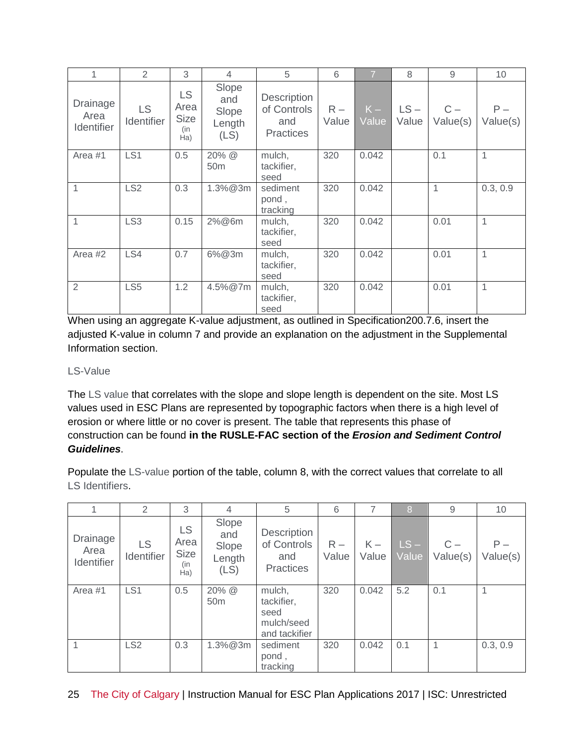| 1                                     | 2                              | 3                                              | 4                                       | 5                                                            | 6              | $\overline{7}$ | 8               | 9                 | 10                |
|---------------------------------------|--------------------------------|------------------------------------------------|-----------------------------------------|--------------------------------------------------------------|----------------|----------------|-----------------|-------------------|-------------------|
| <b>Drainage</b><br>Area<br>Identifier | <b>LS</b><br><b>Identifier</b> | <b>LS</b><br>Area<br><b>Size</b><br>(in<br>Ha) | Slope<br>and<br>Slope<br>Length<br>(LS) | <b>Description</b><br>of Controls<br>and<br><b>Practices</b> | $R -$<br>Value | $K -$<br>Value | $LS -$<br>Value | $C -$<br>Value(s) | $P -$<br>Value(s) |
| Area #1                               | LS <sub>1</sub>                | 0.5                                            | 20% @<br>50 <sub>m</sub>                | mulch,<br>tackifier,<br>seed                                 | 320            | 0.042          |                 | 0.1               | 1                 |
| 1                                     | LS <sub>2</sub>                | 0.3                                            | $1.3\% @ 3m$                            | sediment<br>pond,<br>tracking                                | 320            | 0.042          |                 | 1                 | 0.3, 0.9          |
| 1                                     | LS <sub>3</sub>                | 0.15                                           | 2%@6m                                   | mulch,<br>tackifier,<br>seed                                 | 320            | 0.042          |                 | 0.01              | 1                 |
| Area #2                               | LS4                            | 0.7                                            | 6%@3m                                   | mulch,<br>tackifier,<br>seed                                 | 320            | 0.042          |                 | 0.01              | 1                 |
| $\overline{2}$                        | LS <sub>5</sub>                | 1.2                                            | 4.5%@7m                                 | mulch,<br>tackifier,<br>seed                                 | 320            | 0.042          |                 | 0.01              | 1                 |

When using an aggregate K-value adjustment, as outlined in Specification200.7.6, insert the adjusted K-value in column 7 and provide an explanation on the adjustment in the Supplemental Information section.

# LS-Value

The LS value that correlates with the slope and slope length is dependent on the site. Most LS values used in ESC Plans are represented by topographic factors when there is a high level of erosion or where little or no cover is present. The table that represents this phase of construction can be found **in the RUSLE-FAC section of the** *Erosion and Sediment Control Guidelines*.

Populate the LS-value portion of the table, column 8, with the correct values that correlate to all LS Identifiers.

|                                | 2                | 3                                              | 4                                       | 5                                                           | 6              |                | 8               | 9                 | 10                |
|--------------------------------|------------------|------------------------------------------------|-----------------------------------------|-------------------------------------------------------------|----------------|----------------|-----------------|-------------------|-------------------|
| Drainage<br>Area<br>Identifier | LS<br>Identifier | <b>LS</b><br>Area<br><b>Size</b><br>(in<br>Ha) | Slope<br>and<br>Slope<br>Length<br>(LS) | Description<br>of Controls<br>and<br><b>Practices</b>       | $R -$<br>Value | $K -$<br>Value | $LS -$<br>Value | $C -$<br>Value(s) | $P -$<br>Value(s) |
| Area #1                        | LS <sub>1</sub>  | 0.5                                            | 20% @<br>50 <sub>m</sub>                | mulch,<br>tackifier,<br>seed<br>mulch/seed<br>and tackifier | 320            | 0.042          | 5.2             | 0.1               | 1                 |
|                                | LS <sub>2</sub>  | 0.3                                            | 1.3%@3m                                 | sediment<br>pond,<br>tracking                               | 320            | 0.042          | 0.1             | 1                 | 0.3, 0.9          |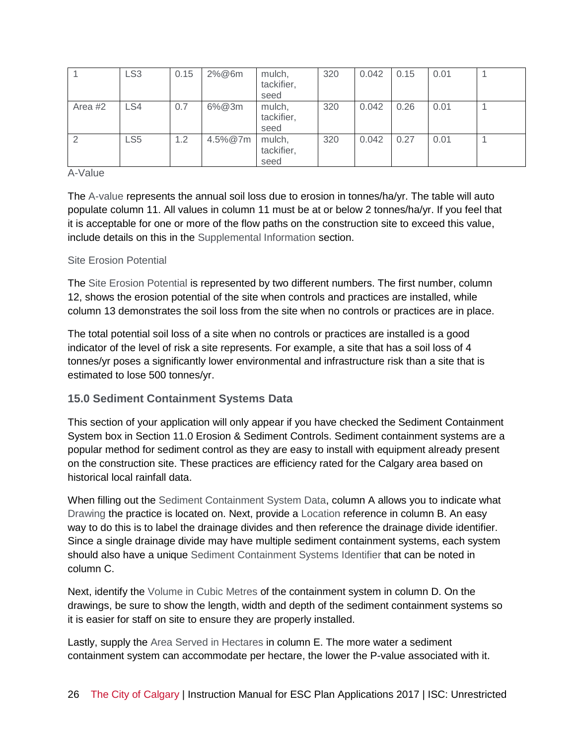|         | LS <sub>3</sub> | 0.15 | 2%@6m   | mulch,<br>tackifier,<br>seed | 320 | 0.042 | 0.15 | 0.01 |  |
|---------|-----------------|------|---------|------------------------------|-----|-------|------|------|--|
| Area #2 | LS4             | 0.7  | 6%@3m   | mulch,<br>tackifier,<br>seed | 320 | 0.042 | 0.26 | 0.01 |  |
|         | LS <sub>5</sub> | 1.2  | 4.5%@7m | mulch,<br>tackifier,<br>seed | 320 | 0.042 | 0.27 | 0.01 |  |

#### A-Value

The A-value represents the annual soil loss due to erosion in tonnes/ha/yr. The table will auto populate column 11. All values in column 11 must be at or below 2 tonnes/ha/yr. If you feel that it is acceptable for one or more of the flow paths on the construction site to exceed this value, include details on this in the Supplemental Information section.

# Site Erosion Potential

The Site Erosion Potential is represented by two different numbers. The first number, column 12, shows the erosion potential of the site when controls and practices are installed, while column 13 demonstrates the soil loss from the site when no controls or practices are in place.

The total potential soil loss of a site when no controls or practices are installed is a good indicator of the level of risk a site represents. For example, a site that has a soil loss of 4 tonnes/yr poses a significantly lower environmental and infrastructure risk than a site that is estimated to lose 500 tonnes/yr.

# **15.0 Sediment Containment Systems Data**

This section of your application will only appear if you have checked the Sediment Containment System box in Section 11.0 Erosion & Sediment Controls. Sediment containment systems are a popular method for sediment control as they are easy to install with equipment already present on the construction site. These practices are efficiency rated for the Calgary area based on historical local rainfall data.

When filling out the Sediment Containment System Data, column A allows you to indicate what Drawing the practice is located on. Next, provide a Location reference in column B. An easy way to do this is to label the drainage divides and then reference the drainage divide identifier. Since a single drainage divide may have multiple sediment containment systems, each system should also have a unique Sediment Containment Systems Identifier that can be noted in column C.

Next, identify the Volume in Cubic Metres of the containment system in column D. On the drawings, be sure to show the length, width and depth of the sediment containment systems so it is easier for staff on site to ensure they are properly installed.

Lastly, supply the Area Served in Hectares in column E. The more water a sediment containment system can accommodate per hectare, the lower the P-value associated with it.